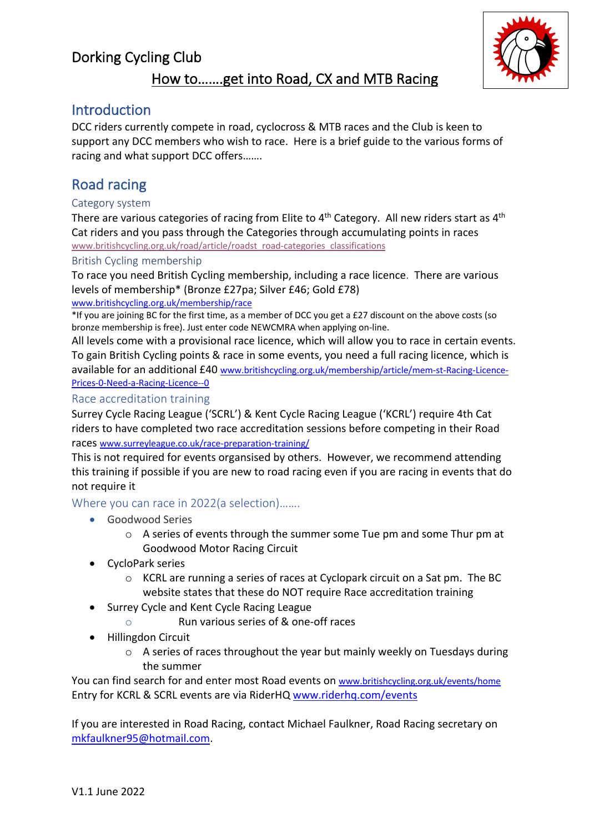# Dorking Cycling Club



# How to…….get into Road, CX and MTB Racing

### **Introduction**

DCC riders currently compete in road, cyclocross & MTB races and the Club is keen to support any DCC members who wish to race. Here is a brief guide to the various forms of racing and what support DCC offers…….

## Road racing

#### Category system

There are various categories of racing from Elite to 4<sup>th</sup> Category. All new riders start as 4<sup>th</sup> Cat riders and you pass through the Categories through accumulating points in races www.britishcycling.org.uk/road/article/roadst\_road-categories\_classifications

#### British Cycling membership

To race you need British Cycling membership, including a race licence. There are various levels of membership\* (Bronze £27pa; Silver £46; Gold £78)

#### www.britishcycling.org.uk/membership/race

\*If you are joining BC for the first time, as a member of DCC you get a £27 discount on the above costs (so bronze membership is free). Just enter code NEWCMRA when applying on-line.

All levels come with a provisional race licence, which will allow you to race in certain events. To gain British Cycling points & race in some events, you need a full racing licence, which is available for an additional £40 www.britishcycling.org.uk/membership/article/mem-st-Racing-Licence-Prices-0-Need-a-Racing-Licence--0

#### Race accreditation training

Surrey Cycle Racing League ('SCRL') & Kent Cycle Racing League ('KCRL') require 4th Cat riders to have completed two race accreditation sessions before competing in their Road races www.surreyleague.co.uk/race-preparation-training/

This is not required for events organsised by others. However, we recommend attending this training if possible if you are new to road racing even if you are racing in events that do not require it

Where you can race in 2022(a selection)…….

- Goodwood Series
	- $\circ$  A series of events through the summer some Tue pm and some Thur pm at Goodwood Motor Racing Circuit
- CycloPark series
	- o KCRL are running a series of races at Cyclopark circuit on a Sat pm. The BC website states that these do NOT require Race accreditation training
- Surrey Cycle and Kent Cycle Racing League
	- o Run various series of & one-off races
- Hillingdon Circuit
	- $\circ$  A series of races throughout the year but mainly weekly on Tuesdays during the summer

You can find search for and enter most Road events on www.britishcycling.org.uk/events/home Entry for KCRL & SCRL events are via RiderHQ www.riderhq.com/events

If you are interested in Road Racing, contact Michael Faulkner, Road Racing secretary on mkfaulkner95@hotmail.com.